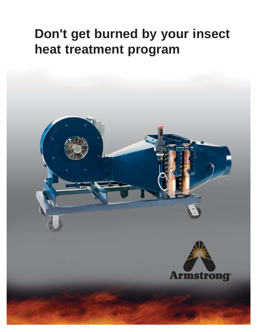# **Don't get burned by your insect heat treatment program**



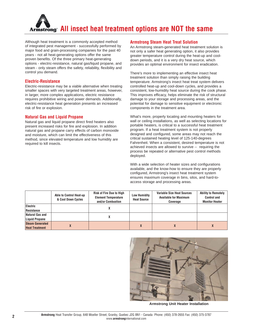

Although heat treatment is a commonly accepted method of integrated pest management - successfully performed by major food and grain-processing companies for the past 40 years - not all heat-generating options offer the same proven benefits. Of the three primary heat-generating options - electric-resistance, natural gas/liquid propane, and steam - only steam offers the safety, reliability, flexibility and control you demand.

### **Electric-Resistance**

Electric-resistance may be a viable alternative when treating smaller spaces with very targeted treatment areas, however, in larger, more complex applications, electric resistance requires prohibitive wiring and power demands. Additionally, electric-resistance heat generation presents an increased risk of fire or explosion.

### **Natural Gas and Liquid Propane**

Natural gas and liquid propane direct fired heaters also present increased risks for fire and explosion. In addition natural gas and propane carry effects of carbon monoxide and moisture, which can limit the effectiveness of this method, since elevated temperature and low humidity are required to kill insects.

### **Armstrong Steam Heat Treat Solution**

An Armstrong steam-generated heat treatment solution is not only a safer heat generating option, it also provides greater temperature control during the heat-up and cooldown periods, and it is a very dry heat source, which provides an optimal environment for insect eradication.

There's more to implementing an effective insect heat treatment solution than simply raising the building temperature. Armstrong's insect heat treat system delivers controlled heat-up and cool-down cycles, and provides a consistent, low-humidity heat source during the cook phase. This improves efficacy, helps eliminate the risk of structural damage to your storage and processing areas, and the potential for damage to sensitive equipment or electronic components in the treatment area.

What's more, properly locating and mounting heaters for wall or ceiling installations, as well as selecting locations for portable heaters, is critical to a successful heat treatment program. If a heat treatment system is not properly designed and configured, some areas may not reach the critical sustained heating level of 125-140-degrees Fahrenheit. When a consistent, desired temperature is not achieved insects are allowed to survive -- requiring the process be repeated or alternative pest control methods deployed.

With a wide selection of heater sizes and configurations available, and the know-how to ensure they are properly configured, Armstrong's insect heat treatment system ensures maximum coverage in bins, silos, and hard-toaccess storage and processing areas.

|                                                 | <b>Able to Control Heat-up</b><br>& Cool Down Cycles | <b>Risk of Fire Due to High</b><br><b>Element Temperature</b><br>and/or Combustion | <b>Low Humidity</b><br><b>Heat Source</b> | <b>Variable Size Heat Sources</b><br><b>Available for Maximum</b><br>Coverage | <b>Ability to Remotely</b><br><b>Control and</b><br><b>Monitor Heater</b> |
|-------------------------------------------------|------------------------------------------------------|------------------------------------------------------------------------------------|-------------------------------------------|-------------------------------------------------------------------------------|---------------------------------------------------------------------------|
| Electric<br>Resistance                          |                                                      |                                                                                    |                                           |                                                                               |                                                                           |
| Natural Gas and<br><b>Liquid Propane</b>        |                                                      |                                                                                    |                                           |                                                                               |                                                                           |
| <b>Steam Generated</b><br><b>Heat Treatment</b> |                                                      |                                                                                    |                                           |                                                                               |                                                                           |



**Armstrong Unit Heater Installation**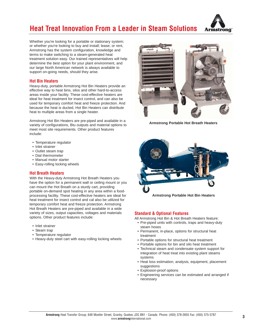



Whether you're looking for a portable or stationary system; or whether you're looking to buy and install; lease; or rent, Armstrong has the system configuration, knowledge and terms to make switching to a steam-generated heat treatment solution easy. Our trained representatives will help determine the best option for your plant environment, and our large North American network is always available to support on-going needs, should they arise.

### **Hot Bin Heaters**

Heavy-duty, portable Armstrong Hot Bin Heaters provide an effective way to heat bins, silos and other hard-to-access areas inside your facility. These cost-effective heaters are ideal for heat treatment for insect control, and can also be used for temporary comfort heat and freeze protection. And because the heat is ducted, Hot Bin Heaters can distribute heat to multiple areas from a single heater.

Armstrong Hot Bin Heaters are pre-piped and available in a variety of configurations, Btu outputs and material options to meet most site requirements. Other product features include:

- Temperature regulator
- Inlet strainer
- Outlet steam trap
- Dial thermometer
- Manual motor starter
- Easy-rolling locking wheels

### **Hot Breath Heaters**

With the Heavy-duty Armstrong Hot Breath Heaters you have the option for a permanent wall or ceiling mount or you can mount the Hot Breath on a sturdy cart, providing portable on-demand spot heating in any area within a foodprocessing facility. These cost-effective heaters are ideal for heat treatment for insect control and cal also be utilized for temporary comfort heat and freeze protection. Armstrong Hot Breath Heaters are pre-piped and available in a wide variety of sizes, output capacities, voltages and materials options. Other product features include:

- Inlet strainer
- Steam trap
- Temperature regulator
- Heavy-duty steel cart with easy-rolling locking wheels



**Armstrong Portable Hot Breath Heaters**



### **Standard & Optional Features**

All Armstrong Hot Bin & Hot Breath Heaters feature:

- Pre-piped units with controls, traps and heavy-duty steam hoses
- Permanent, in-place, options for structural heat treatment
- Portable options for structural heat treatment
- Portable options for bin and silo heat treatment
- Technical steam and condensate system support for integration of heat treat into existing plant steams systems
- Heat loss estimation, analysis, equipment, placement suggestions
- Explosion-proof options
- Engineering services can be estimated and arranged if necessary